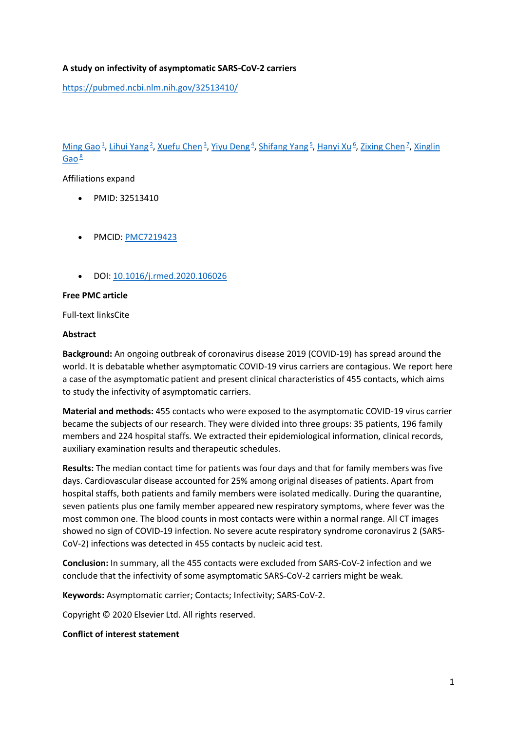## **A study on infectivity of asymptomatic SARS-CoV-2 carriers**

<https://pubmed.ncbi.nlm.nih.gov/32513410/>

[Ming Gao](https://pubmed.ncbi.nlm.nih.gov/?term=Gao+M&cauthor_id=32513410)<sup>1</sup>[,](https://pubmed.ncbi.nlm.nih.gov/32513410/#affiliation-7) [Lihui Yang](https://pubmed.ncbi.nlm.nih.gov/?term=Yang+L&cauthor_id=32513410)<sup>[2](https://pubmed.ncbi.nlm.nih.gov/32513410/#affiliation-2)</sup>, [Xuefu Chen](https://pubmed.ncbi.nlm.nih.gov/?term=Chen+X&cauthor_id=32513410)<sup>[3](https://pubmed.ncbi.nlm.nih.gov/32513410/#affiliation-3)</sup>, [Yiyu Deng](https://pubmed.ncbi.nlm.nih.gov/?term=Deng+Y&cauthor_id=32513410)<sup>[4](https://pubmed.ncbi.nlm.nih.gov/32513410/#affiliation-4)</sup>, [Shifang Yang](https://pubmed.ncbi.nlm.nih.gov/?term=Yang+S&cauthor_id=32513410)<sup>[5](https://pubmed.ncbi.nlm.nih.gov/32513410/#affiliation-5)</sup>, [Hanyi Xu](https://pubmed.ncbi.nlm.nih.gov/?term=Xu+H&cauthor_id=32513410)<sup>[6](https://pubmed.ncbi.nlm.nih.gov/32513410/#affiliation-6)</sup>, [Zixing Chen](https://pubmed.ncbi.nlm.nih.gov/?term=Chen+Z&cauthor_id=32513410)<sup>7</sup>, Xinglin [Gao](https://pubmed.ncbi.nlm.nih.gov/?term=Gao+X&cauthor_id=32513410)<sup>[8](https://pubmed.ncbi.nlm.nih.gov/32513410/#affiliation-8)</sup>

Affiliations expand

- PMID: 32513410
- PMCID: [PMC7219423](http://www.ncbi.nlm.nih.gov/pmc/articles/pmc7219423/)
- DOI: [10.1016/j.rmed.2020.106026](https://doi.org/10.1016/j.rmed.2020.106026)

### **Free PMC article**

Full-text linksCite

### **Abstract**

**Background:** An ongoing outbreak of coronavirus disease 2019 (COVID-19) has spread around the world. It is debatable whether asymptomatic COVID-19 virus carriers are contagious. We report here a case of the asymptomatic patient and present clinical characteristics of 455 contacts, which aims to study the infectivity of asymptomatic carriers.

**Material and methods:** 455 contacts who were exposed to the asymptomatic COVID-19 virus carrier became the subjects of our research. They were divided into three groups: 35 patients, 196 family members and 224 hospital staffs. We extracted their epidemiological information, clinical records, auxiliary examination results and therapeutic schedules.

**Results:** The median contact time for patients was four days and that for family members was five days. Cardiovascular disease accounted for 25% among original diseases of patients. Apart from hospital staffs, both patients and family members were isolated medically. During the quarantine, seven patients plus one family member appeared new respiratory symptoms, where fever was the most common one. The blood counts in most contacts were within a normal range. All CT images showed no sign of COVID-19 infection. No severe acute respiratory syndrome coronavirus 2 (SARS-CoV-2) infections was detected in 455 contacts by nucleic acid test.

**Conclusion:** In summary, all the 455 contacts were excluded from SARS-CoV-2 infection and we conclude that the infectivity of some asymptomatic SARS-CoV-2 carriers might be weak.

**Keywords:** Asymptomatic carrier; Contacts; Infectivity; SARS-CoV-2.

Copyright © 2020 Elsevier Ltd. All rights reserved.

#### **Conflict of interest statement**